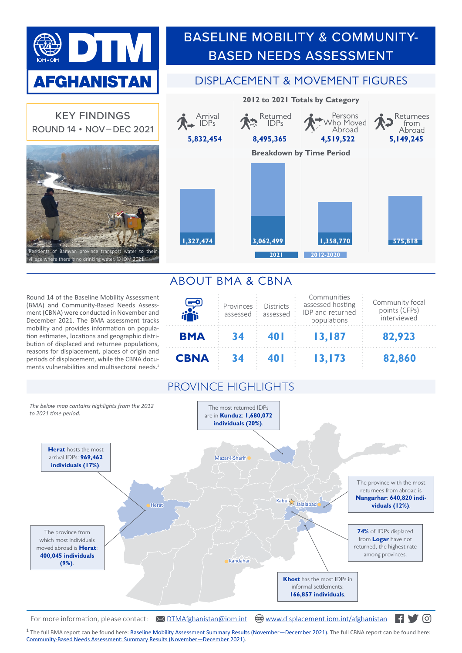

KEY FINDINGS ROUND 14 • NOV – DEC 2021

> of Bamyan province transport water to the where there is no drinking water. © IOM 2021 $^{\circ}$

Round 14 of the Baseline Mobility Assessment (BMA) and Community-Based Needs Assessment (CBNA) were conducted in November and December 2021. The BMA assessment tracks mobility and provides information on population estimates, locations and geographic distribution of displaced and returnee populations, reasons for displacement, places of origin and periods of displacement, while the CBNA documents vulnerabilities and multisectoral needs. 1

## BASELINE MOBILITY & COMMUNITY-BASED NEEDS ASSESSMENT

## DISPLACEMENT & MOVEMENT FIGURES



## ABOUT BMA & CBNA

| لجي         | Provinces<br>assessed | <b>Districts</b><br>assessed | Communities<br>assessed hosting<br>IDP and returned<br>populations | Community focal<br>points (CFPs)<br>interviewed |
|-------------|-----------------------|------------------------------|--------------------------------------------------------------------|-------------------------------------------------|
| <b>BMA</b>  | 34                    | 40 I                         | 13,187                                                             | 82,923                                          |
| <b>CBNA</b> |                       |                              | 13,173                                                             | 82,860                                          |

## PROVINCE HIGHLIGHTS



For more information, please contact:  $\sqrt{\frac{DTMAfghanistan@iom.int}{\sqrt{\frac{M}{m}}}}$  $\sqrt{\frac{DTMAfghanistan@iom.int}{\sqrt{\frac{M}{m}}}}$  $\sqrt{\frac{DTMAfghanistan@iom.int}{\sqrt{\frac{M}{m}}}}$  [www.displacement.iom.int/afghanistan](https://displacement.iom.int/afghanistan)  $\blacksquare$ 

<sup>1</sup> The full BMA report can be found here: **Baseline Mobility Assessment Summary Results (November—December 2021)**. The full CBNA report can be found here: [Community-Based Needs Assessment: Summary Results \(November—December 2021\).](https://displacement.iom.int/reports/cbna-r14-afghanistan-community-based-needs-assessment-summary-results-november-december?close=true)